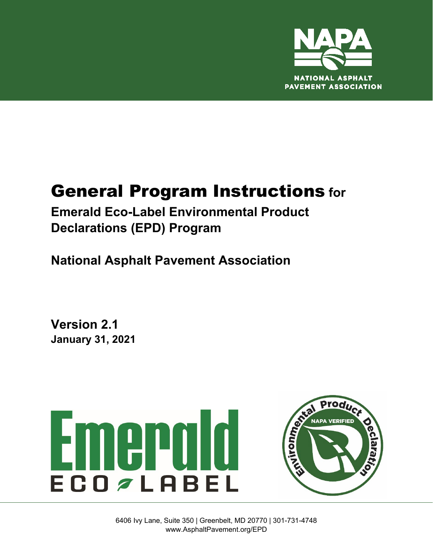

# General Program Instructions **for**

**Emerald Eco-Label Environmental Product Declarations (EPD) Program**

**National Asphalt Pavement Association**

**Version 2.1 January 31, 2021**



6406 Ivy Lane, Suite 350 | Greenbelt, MD 20770 | 301-731-4748 www.AsphaltPavement.org/EPD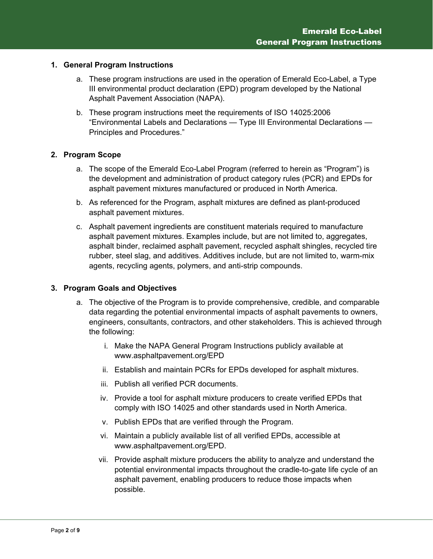## **1. General Program Instructions**

- a. These program instructions are used in the operation of Emerald Eco-Label, a Type III environmental product declaration (EPD) program developed by the National Asphalt Pavement Association (NAPA).
- b. These program instructions meet the requirements of ISO 14025:2006 "Environmental Labels and Declarations — Type III Environmental Declarations — Principles and Procedures."

## **2. Program Scope**

- a. The scope of the Emerald Eco-Label Program (referred to herein as "Program") is the development and administration of product category rules (PCR) and EPDs for asphalt pavement mixtures manufactured or produced in North America.
- b. As referenced for the Program, asphalt mixtures are defined as plant-produced asphalt pavement mixtures.
- c. Asphalt pavement ingredients are constituent materials required to manufacture asphalt pavement mixtures. Examples include, but are not limited to, aggregates, asphalt binder, reclaimed asphalt pavement, recycled asphalt shingles, recycled tire rubber, steel slag, and additives. Additives include, but are not limited to, warm-mix agents, recycling agents, polymers, and anti-strip compounds.

#### **3. Program Goals and Objectives**

- a. The objective of the Program is to provide comprehensive, credible, and comparable data regarding the potential environmental impacts of asphalt pavements to owners, engineers, consultants, contractors, and other stakeholders. This is achieved through the following:
	- i. Make the NAPA General Program Instructions publicly available at www.asphaltpavement.org/EPD
	- ii. Establish and maintain PCRs for EPDs developed for asphalt mixtures.
	- iii. Publish all verified PCR documents.
	- iv. Provide a tool for asphalt mixture producers to create verified EPDs that comply with ISO 14025 and other standards used in North America.
	- v. Publish EPDs that are verified through the Program.
	- vi. Maintain a publicly available list of all verified EPDs, accessible at www.asphaltpavement.org/EPD.
	- vii. Provide asphalt mixture producers the ability to analyze and understand the potential environmental impacts throughout the cradle-to-gate life cycle of an asphalt pavement, enabling producers to reduce those impacts when possible.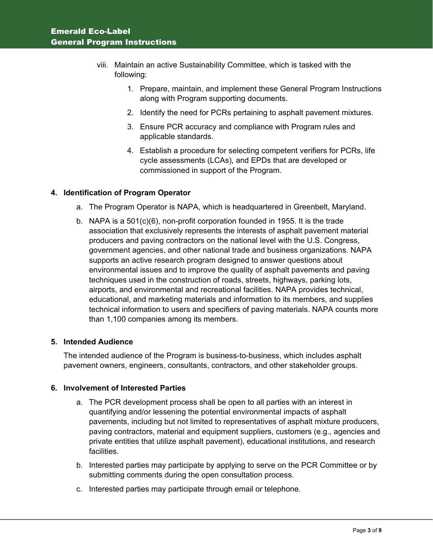- viii. Maintain an active Sustainability Committee, which is tasked with the following:
	- 1. Prepare, maintain, and implement these General Program Instructions along with Program supporting documents.
	- 2. Identify the need for PCRs pertaining to asphalt pavement mixtures.
	- 3. Ensure PCR accuracy and compliance with Program rules and applicable standards.
	- 4. Establish a procedure for selecting competent verifiers for PCRs, life cycle assessments (LCAs), and EPDs that are developed or commissioned in support of the Program.

## **4. Identification of Program Operator**

- a. The Program Operator is NAPA, which is headquartered in Greenbelt, Maryland.
- b. NAPA is a 501(c)(6), non-profit corporation founded in 1955. It is the trade association that exclusively represents the interests of asphalt pavement material producers and paving contractors on the national level with the U.S. Congress, government agencies, and other national trade and business organizations. NAPA supports an active research program designed to answer questions about environmental issues and to improve the quality of asphalt pavements and paving techniques used in the construction of roads, streets, highways, parking lots, airports, and environmental and recreational facilities. NAPA provides technical, educational, and marketing materials and information to its members, and supplies technical information to users and specifiers of paving materials. NAPA counts more than 1,100 companies among its members.

## **5. Intended Audience**

The intended audience of the Program is business-to-business, which includes asphalt pavement owners, engineers, consultants, contractors, and other stakeholder groups.

#### **6. Involvement of Interested Parties**

- a. The PCR development process shall be open to all parties with an interest in quantifying and/or lessening the potential environmental impacts of asphalt pavements, including but not limited to representatives of asphalt mixture producers, paving contractors, material and equipment suppliers, customers (e.g., agencies and private entities that utilize asphalt pavement), educational institutions, and research facilities.
- b. Interested parties may participate by applying to serve on the PCR Committee or by submitting comments during the open consultation process.
- c. Interested parties may participate through email or telephone.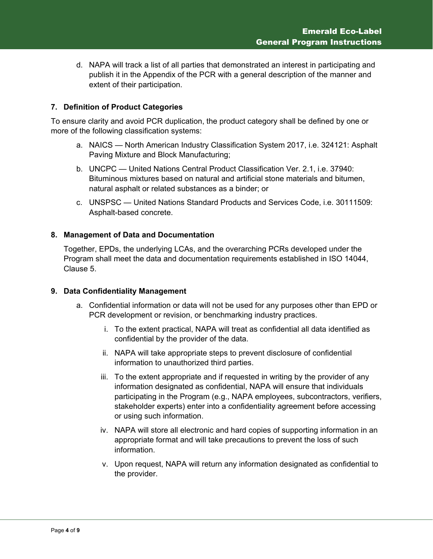d. NAPA will track a list of all parties that demonstrated an interest in participating and publish it in the Appendix of the PCR with a general description of the manner and extent of their participation.

## **7. Definition of Product Categories**

To ensure clarity and avoid PCR duplication, the product category shall be defined by one or more of the following classification systems:

- a. NAICS North American Industry Classification System 2017, i.e. 324121: Asphalt Paving Mixture and Block Manufacturing;
- b. UNCPC United Nations Central Product Classification Ver. 2.1, i.e. 37940: Bituminous mixtures based on natural and artificial stone materials and bitumen, natural asphalt or related substances as a binder; or
- c. UNSPSC United Nations Standard Products and Services Code, i.e. 30111509: Asphalt-based concrete.

## **8. Management of Data and Documentation**

Together, EPDs, the underlying LCAs, and the overarching PCRs developed under the Program shall meet the data and documentation requirements established in ISO 14044, Clause 5.

#### **9. Data Confidentiality Management**

- a. Confidential information or data will not be used for any purposes other than EPD or PCR development or revision, or benchmarking industry practices.
	- i. To the extent practical, NAPA will treat as confidential all data identified as confidential by the provider of the data.
	- ii. NAPA will take appropriate steps to prevent disclosure of confidential information to unauthorized third parties.
	- iii. To the extent appropriate and if requested in writing by the provider of any information designated as confidential, NAPA will ensure that individuals participating in the Program (e.g., NAPA employees, subcontractors, verifiers, stakeholder experts) enter into a confidentiality agreement before accessing or using such information.
	- iv. NAPA will store all electronic and hard copies of supporting information in an appropriate format and will take precautions to prevent the loss of such information.
	- v. Upon request, NAPA will return any information designated as confidential to the provider.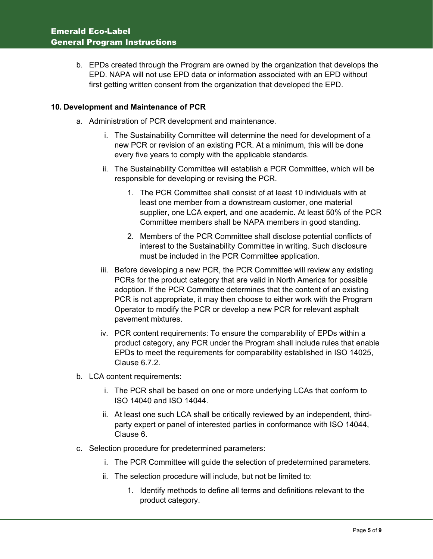b. EPDs created through the Program are owned by the organization that develops the EPD. NAPA will not use EPD data or information associated with an EPD without first getting written consent from the organization that developed the EPD.

## **10. Development and Maintenance of PCR**

- a. Administration of PCR development and maintenance.
	- i. The Sustainability Committee will determine the need for development of a new PCR or revision of an existing PCR. At a minimum, this will be done every five years to comply with the applicable standards.
	- ii. The Sustainability Committee will establish a PCR Committee, which will be responsible for developing or revising the PCR.
		- 1. The PCR Committee shall consist of at least 10 individuals with at least one member from a downstream customer, one material supplier, one LCA expert, and one academic. At least 50% of the PCR Committee members shall be NAPA members in good standing.
		- 2. Members of the PCR Committee shall disclose potential conflicts of interest to the Sustainability Committee in writing. Such disclosure must be included in the PCR Committee application.
	- iii. Before developing a new PCR, the PCR Committee will review any existing PCRs for the product category that are valid in North America for possible adoption. If the PCR Committee determines that the content of an existing PCR is not appropriate, it may then choose to either work with the Program Operator to modify the PCR or develop a new PCR for relevant asphalt pavement mixtures.
	- iv. PCR content requirements: To ensure the comparability of EPDs within a product category, any PCR under the Program shall include rules that enable EPDs to meet the requirements for comparability established in ISO 14025, Clause 6.7.2.
- b. LCA content requirements:
	- i. The PCR shall be based on one or more underlying LCAs that conform to ISO 14040 and ISO 14044.
	- ii. At least one such LCA shall be critically reviewed by an independent, thirdparty expert or panel of interested parties in conformance with ISO 14044, Clause 6.
- c. Selection procedure for predetermined parameters:
	- i. The PCR Committee will guide the selection of predetermined parameters.
	- ii. The selection procedure will include, but not be limited to:
		- 1. Identify methods to define all terms and definitions relevant to the product category.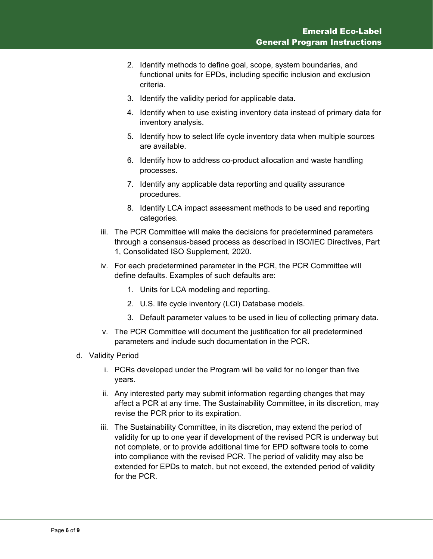- 2. Identify methods to define goal, scope, system boundaries, and functional units for EPDs, including specific inclusion and exclusion criteria.
- 3. Identify the validity period for applicable data.
- 4. Identify when to use existing inventory data instead of primary data for inventory analysis.
- 5. Identify how to select life cycle inventory data when multiple sources are available.
- 6. Identify how to address co-product allocation and waste handling processes.
- 7. Identify any applicable data reporting and quality assurance procedures.
- 8. Identify LCA impact assessment methods to be used and reporting categories.
- iii. The PCR Committee will make the decisions for predetermined parameters through a consensus-based process as described in ISO/IEC Directives, Part 1, Consolidated ISO Supplement, 2020.
- iv. For each predetermined parameter in the PCR, the PCR Committee will define defaults. Examples of such defaults are:
	- 1. Units for LCA modeling and reporting.
	- 2. U.S. life cycle inventory (LCI) Database models.
	- 3. Default parameter values to be used in lieu of collecting primary data.
- v. The PCR Committee will document the justification for all predetermined parameters and include such documentation in the PCR.
- d. Validity Period
	- i. PCRs developed under the Program will be valid for no longer than five years.
	- ii. Any interested party may submit information regarding changes that may affect a PCR at any time. The Sustainability Committee, in its discretion, may revise the PCR prior to its expiration.
	- iii. The Sustainability Committee, in its discretion, may extend the period of validity for up to one year if development of the revised PCR is underway but not complete, or to provide additional time for EPD software tools to come into compliance with the revised PCR. The period of validity may also be extended for EPDs to match, but not exceed, the extended period of validity for the PCR.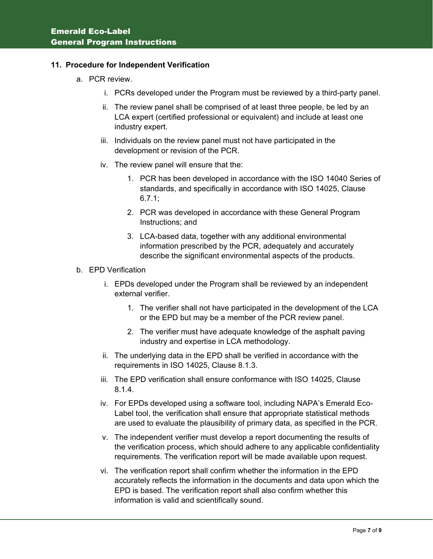#### **11. Procedure for Independent Verification**

- a. PCR review.
	- i. PCRs developed under the Program must be reviewed by a third-party panel.
	- ii. The review panel shall be comprised of at least three people, be led by an LCA expert (certified professional or equivalent) and include at least one industry expert.
	- iii. Individuals on the review panel must not have participated in the development or revision of the PCR.
	- iv. The review panel will ensure that the:
		- 1. PCR has been developed in accordance with the ISO 14040 Series of standards, and specifically in accordance with ISO 14025, Clause 6.7.1;
		- 2. PCR was developed in accordance with these General Program Instructions; and
		- 3. LCA-based data, together with any additional environmental information prescribed by the PCR, adequately and accurately describe the significant environmental aspects of the products.
- b. EPD Verification
	- i. EPDs developed under the Program shall be reviewed by an independent external verifier.
		- 1. The verifier shall not have participated in the development of the LCA or the EPD but may be a member of the PCR review panel.
		- 2. The verifier must have adequate knowledge of the asphalt paving industry and expertise in LCA methodology.
	- ii. The underlying data in the EPD shall be verified in accordance with the requirements in ISO 14025, Clause 8.1.3.
	- iii. The EPD verification shall ensure conformance with ISO 14025, Clause 8.1.4.
	- iv. For EPDs developed using a software tool, including NAPA's Emerald Eco-Label tool, the verification shall ensure that appropriate statistical methods are used to evaluate the plausibility of primary data, as specified in the PCR.
	- v. The independent verifier must develop a report documenting the results of the verification process, which should adhere to any applicable confidentiality requirements. The verification report will be made available upon request.
	- vi. The verification report shall confirm whether the information in the EPD accurately reflects the information in the documents and data upon which the EPD is based. The verification report shall also confirm whether this information is valid and scientifically sound.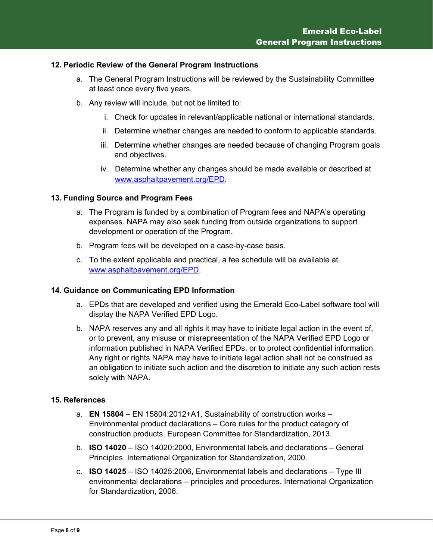#### **12. Periodic Review of the General Program Instructions**

- a. The General Program Instructions will be reviewed by the Sustainability Committee at least once every five years.
- b. Any review will include, but not be limited to:
	- i. Check for updates in relevant/applicable national or international standards.
	- ii. Determine whether changes are needed to conform to applicable standards.
	- iii. Determine whether changes are needed because of changing Program goals and objectives.
	- iv. Determine whether any changes should be made available or described at [www.asphaltpavement.org/EPD.](http://www.asphaltpavement.org/EPD)

## **13. Funding Source and Program Fees**

- a. The Program is funded by a combination of Program fees and NAPA's operating expenses. NAPA may also seek funding from outside organizations to support development or operation of the Program.
- b. Program fees will be developed on a case-by-case basis.
- c. To the extent applicable and practical, a fee schedule will be available at [www.asphaltpavement.org/EPD.](http://www.asphaltpavement.org/EPD)

#### **14. Guidance on Communicating EPD Information**

- a. EPDs that are developed and verified using the Emerald Eco-Label software tool will display the NAPA Verified EPD Logo.
- b. NAPA reserves any and all rights it may have to initiate legal action in the event of, or to prevent, any misuse or misrepresentation of the NAPA Verified EPD Logo or information published in NAPA Verified EPDs, or to protect confidential information. Any right or rights NAPA may have to initiate legal action shall not be construed as an obligation to initiate such action and the discretion to initiate any such action rests solely with NAPA.

#### **15. References**

- a. **EN 15804** EN 15804:2012+A1, Sustainability of construction works Environmental product declarations – Core rules for the product category of construction products. European Committee for Standardization, 2013.
- b. **ISO 14020** ISO 14020:2000, Environmental labels and declarations General Principles. International Organization for Standardization, 2000.
- c. **ISO 14025** ISO 14025:2006, Environmental labels and declarations Type III environmental declarations – principles and procedures. International Organization for Standardization, 2006.